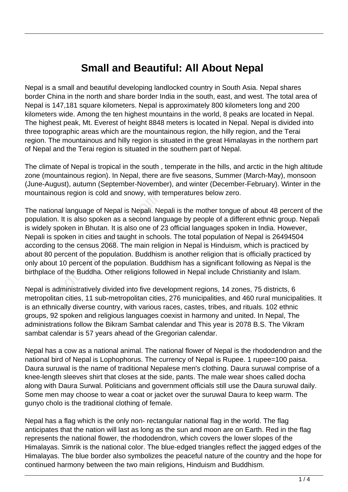## **Small and Beautiful: All About Nepal**

Nepal is a small and beautiful developing landlocked country in South Asia. Nepal shares border China in the north and share border India in the south, east, and west. The total area of Nepal is 147,181 square kilometers. Nepal is approximately 800 kilometers long and 200 kilometers wide. Among the ten highest mountains in the world, 8 peaks are located in Nepal. The highest peak, Mt. Everest of height 8848 meters is located in Nepal. Nepal is divided into three topographic areas which are the mountainous region, the hilly region, and the Terai region. The mountainous and hilly region is situated in the great Himalayas in the northern part of Nepal and the Terai region is situated in the southern part of Nepal.

The climate of Nepal is tropical in the south , temperate in the hills, and arctic in the high altitude zone (mountainous region). In Nepal, there are five seasons, Summer (March-May), monsoon (June-August), autumn (September-November), and winter (December-February). Winter in the mountainous region is cold and snowy, with temperatures below zero.

The national language of Nepal is Nepali. Nepali is the mother tongue of about 48 percent of the population. It is also spoken as a second language by people of a different ethnic group. Nepali is widely spoken in Bhutan. It is also one of 23 official languages spoken in India. However, Nepali is spoken in cities and taught in schools. The total population of Nepal is 26494504 according to the census 2068. The main religion in Nepal is Hinduism, which is practiced by about 80 percent of the population. Buddhism is another religion that is officially practiced by only about 10 percent of the population. Buddhism has a significant following as Nepal is the birthplace of the Buddha. Other religions followed in Nepal include Christianity and Islam. al language of Nepal is Nepali. New Section 2014 is Alepali. New Section 1.<br>
1. It is also spoken as a second language of Nepal is Alepali. Nepther in Bhutan. It is also one of 2<br>
1.<br>
10 percent of the population. Buddhist

Nepal is administratively divided into five development regions, 14 zones, 75 districts, 6 metropolitan cities, 11 sub-metropolitan cities, 276 municipalities, and 460 rural municipalities. It is an ethnically diverse country, with various races, castes, tribes, and rituals. 102 ethnic groups, 92 spoken and religious languages coexist in harmony and united. In Nepal, The administrations follow the Bikram Sambat calendar and This year is 2078 B.S. The Vikram sambat calendar is 57 years ahead of the Gregorian calendar.

Nepal has a cow as a national animal. The national flower of Nepal is the rhododendron and the national bird of Nepal is Lophophorus. The currency of Nepal is Rupee. 1 rupee=100 paisa. Daura suruwal is the name of traditional Nepalese men's clothing. Daura suruwal comprise of a knee-length sleeves shirt that closes at the side, pants. The male wear shoes called docha along with Daura Surwal. Politicians and government officials still use the Daura suruwal daily. Some men may choose to wear a coat or jacket over the suruwal Daura to keep warm. The gunyo cholo is the traditional clothing of female.

Nepal has a flag which is the only non- rectangular national flag in the world. The flag anticipates that the nation will last as long as the sun and moon are on Earth. Red in the flag represents the national flower, the rhododendron, which covers the lower slopes of the Himalayas. Simrik is the national color. The blue-edged triangles reflect the jagged edges of the Himalayas. The blue border also symbolizes the peaceful nature of the country and the hope for continued harmony between the two main religions, Hinduism and Buddhism.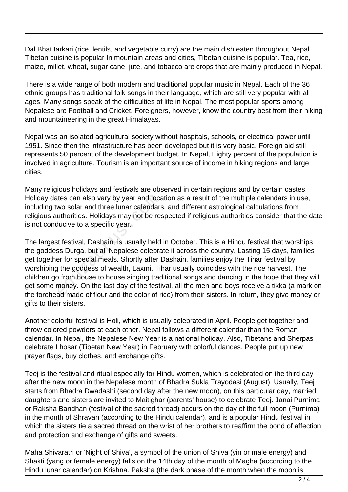Dal Bhat tarkari (rice, lentils, and vegetable curry) are the main dish eaten throughout Nepal. Tibetan cuisine is popular In mountain areas and cities, Tibetan cuisine is popular. Tea, rice, maize, millet, wheat, sugar cane, jute, and tobacco are crops that are mainly produced in Nepal.

There is a wide range of both modern and traditional popular music in Nepal. Each of the 36 ethnic groups has traditional folk songs in their language, which are still very popular with all ages. Many songs speak of the difficulties of life in Nepal. The most popular sports among Nepalese are Football and Cricket. Foreigners, however, know the country best from their hiking and mountaineering in the great Himalayas.

Nepal was an isolated agricultural society without hospitals, schools, or electrical power until 1951. Since then the infrastructure has been developed but it is very basic. Foreign aid still represents 50 percent of the development budget. In Nepal, Eighty percent of the population is involved in agriculture. Tourism is an important source of income in hiking regions and large cities.

Many religious holidays and festivals are observed in certain regions and by certain castes. Holiday dates can also vary by year and location as a result of the multiple calendars in use, including two solar and three lunar calendars, and different astrological calculations from religious authorities. Holidays may not be respected if religious authorities consider that the date is not conducive to a specific year.

The largest festival, Dashain, is usually held in October. This is a Hindu festival that worships the goddess Durga, but all Nepalese celebrate it across the country. Lasting 15 days, families get together for special meals. Shortly after Dashain, families enjoy the Tihar festival by worshiping the goddess of wealth, Laxmi. Tihar usually coincides with the rice harvest. The children go from house to house singing traditional songs and dancing in the hope that they will get some money. On the last day of the festival, all the men and boys receive a tikka (a mark on the forehead made of flour and the color of rice) from their sisters. In return, they give money or gifts to their sisters. tes can also vary by year and loca<br>wo solar and three lunar calendars<br>uthorities. Holidays may not be realucive to a specific year.<br>t festival, Dashain, is usually held<br>ss Durga, but all Nepalese celebra<br>er for special mea

Another colorful festival is Holi, which is usually celebrated in April. People get together and throw colored powders at each other. Nepal follows a different calendar than the Roman calendar. In Nepal, the Nepalese New Year is a national holiday. Also, Tibetans and Sherpas celebrate Lhosar (Tibetan New Year) in February with colorful dances. People put up new prayer flags, buy clothes, and exchange gifts.

Teej is the festival and ritual especially for Hindu women, which is celebrated on the third day after the new moon in the Nepalese month of Bhadra Sukla Trayodasi (August). Usually, Teej starts from Bhadra Dwadashi (second day after the new moon), on this particular day, married daughters and sisters are invited to Maitighar (parents' house) to celebrate Teej. Janai Purnima or Raksha Bandhan (festival of the sacred thread) occurs on the day of the full moon (Purnima) in the month of Shravan (according to the Hindu calendar), and is a popular Hindu festival in which the sisters tie a sacred thread on the wrist of her brothers to reaffirm the bond of affection and protection and exchange of gifts and sweets.

Maha Shivaratri or 'Night of Shiva', a symbol of the union of Shiva (yin or male energy) and Shakti (yang or female energy) falls on the 14th day of the month of Magha (according to the Hindu lunar calendar) on Krishna. Paksha (the dark phase of the month when the moon is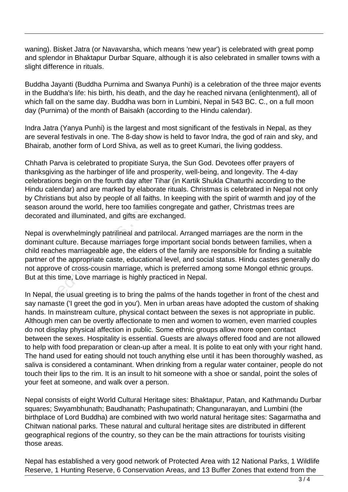waning). Bisket Jatra (or Navavarsha, which means 'new year') is celebrated with great pomp and splendor in Bhaktapur Durbar Square, although it is also celebrated in smaller towns with a slight difference in rituals.

Buddha Jayanti (Buddha Purnima and Swanya Punhi) is a celebration of the three major events in the Buddha's life: his birth, his death, and the day he reached nirvana (enlightenment), all of which fall on the same day. Buddha was born in Lumbini, Nepal in 543 BC. C., on a full moon day (Purnima) of the month of Baisakh (according to the Hindu calendar).

Indra Jatra (Yanya Punhi) is the largest and most significant of the festivals in Nepal, as they are several festivals in one. The 8-day show is held to favor Indra, the god of rain and sky, and Bhairab, another form of Lord Shiva, as well as to greet Kumari, the living goddess.

Chhath Parva is celebrated to propitiate Surya, the Sun God. Devotees offer prayers of thanksgiving as the harbinger of life and prosperity, well-being, and longevity. The 4-day celebrations begin on the fourth day after Tihar (in Kartik Shukla Chaturthi according to the Hindu calendar) and are marked by elaborate rituals. Christmas is celebrated in Nepal not only by Christians but also by people of all faiths. In keeping with the spirit of warmth and joy of the season around the world, here too families congregate and gather, Christmas trees are decorated and illuminated, and gifts are exchanged.

Nepal is overwhelmingly patrilineal and patrilocal. Arranged marriages are the norm in the dominant culture. Because marriages forge important social bonds between families, when a child reaches marriageable age, the elders of the family are responsible for finding a suitable partner of the appropriate caste, educational level, and social status. Hindu castes generally do not approve of cross-cousin marriage, which is preferred among some Mongol ethnic groups. But at this time, Love marriage is highly practiced in Nepal. ins but also by people of all faiths.<br>
bund the world, here too families c<br>
and illuminated, and gifts are excl<br>
verwhelmingly patrilineal and patri<br>
culture. Because marriages forge<br>
les marriageable age, the elders d<br>
th

In Nepal, the usual greeting is to bring the palms of the hands together in front of the chest and say namaste ('I greet the god in you'). Men in urban areas have adopted the custom of shaking hands. In mainstream culture, physical contact between the sexes is not appropriate in public. Although men can be overtly affectionate to men and women to women, even married couples do not display physical affection in public. Some ethnic groups allow more open contact between the sexes. Hospitality is essential. Guests are always offered food and are not allowed to help with food preparation or clean-up after a meal. It is polite to eat only with your right hand. The hand used for eating should not touch anything else until it has been thoroughly washed, as saliva is considered a contaminant. When drinking from a regular water container, people do not touch their lips to the rim. It is an insult to hit someone with a shoe or sandal, point the soles of your feet at someone, and walk over a person.

Nepal consists of eight World Cultural Heritage sites: Bhaktapur, Patan, and Kathmandu Durbar squares; Swyambhunath; Baudhanath; Pashupatinath; Changunarayan, and Lumbini (the birthplace of Lord Buddha) are combined with two world natural heritage sites: Sagarmatha and Chitwan national parks. These natural and cultural heritage sites are distributed in different geographical regions of the country, so they can be the main attractions for tourists visiting those areas.

Nepal has established a very good network of Protected Area with 12 National Parks, 1 Wildlife Reserve, 1 Hunting Reserve, 6 Conservation Areas, and 13 Buffer Zones that extend from the